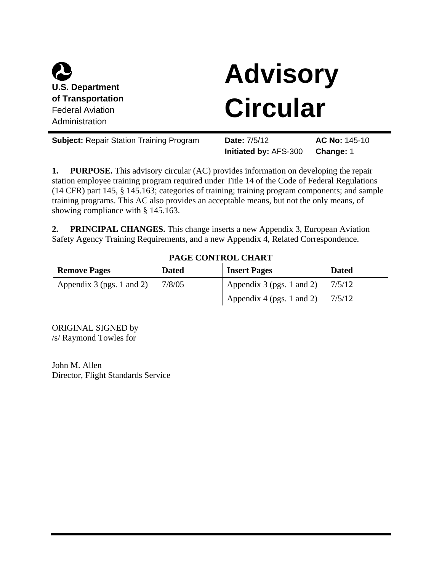

# **Advisory Circular**

| <b>Subject: Repair Station Training Program</b> | Date: 7/5/12                 | <b>AC No: 145-10</b> |
|-------------------------------------------------|------------------------------|----------------------|
|                                                 | <b>Initiated by: AFS-300</b> | <b>Change: 1</b>     |

**1. PURPOSE.** This advisory circular (AC) provides information on developing the repair station employee training program required under Title 14 of the Code of Federal Regulations (14 CFR) part 145, § 145.163; categories of training; training program components; and sample training programs. This AC also provides an acceptable means, but not the only means, of showing compliance with § 145.163.

**2. PRINCIPAL CHANGES.** This change inserts a new Appendix 3, European Aviation Safety Agency Training Requirements, and a new Appendix 4, Related Correspondence.

| <b>Remove Pages</b>         | Dated  | <b>Insert Pages</b>         | <b>Dated</b> |
|-----------------------------|--------|-----------------------------|--------------|
| Appendix $3$ (pgs. 1 and 2) | 7/8/05 | Appendix $3$ (pgs. 1 and 2) | 7/5/12       |
|                             |        | Appendix 4 (pgs. 1 and 2)   | 7/5/12       |

#### **PAGE CONTROL CHART**

ORIGINAL SIGNED by /s/ Raymond Towles for

John M. Allen Director, Flight Standards Service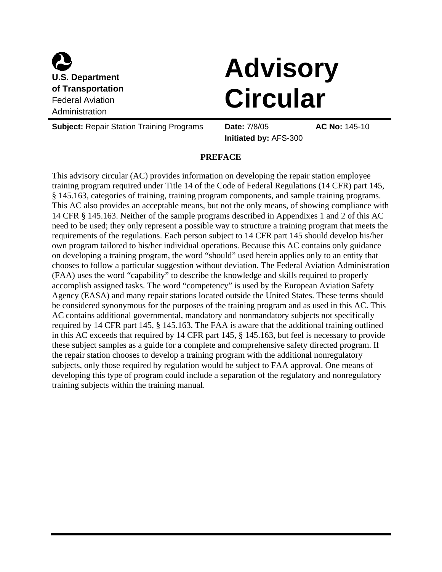

## **Advisory Circular**

**Subject:** Repair Station Training Programs **Date:** 7/8/05

**Initiated by:** AFS-300

**AC No:** 145-10

#### **PREFACE**

This advisory circular (AC) provides information on developing the repair station employee training program required under Title 14 of the Code of Federal Regulations (14 CFR) part 145, § 145.163, categories of training, training program components, and sample training programs. This AC also provides an acceptable means, but not the only means, of showing compliance with 14 CFR § 145.163. Neither of the sample programs described in Appendixes 1 and 2 of this AC need to be used; they only represent a possible way to structure a training program that meets the requirements of the regulations. Each person subject to 14 CFR part 145 should develop his/her own program tailored to his/her individual operations. Because this AC contains only guidance on developing a training program, the word "should" used herein applies only to an entity that chooses to follow a particular suggestion without deviation. The Federal Aviation Administration (FAA) uses the word "capability" to describe the knowledge and skills required to properly accomplish assigned tasks. The word "competency" is used by the European Aviation Safety Agency (EASA) and many repair stations located outside the United States. These terms should be considered synonymous for the purposes of the training program and as used in this AC. This AC contains additional governmental, mandatory and nonmandatory subjects not specifically required by 14 CFR part 145, § 145.163. The FAA is aware that the additional training outlined in this AC exceeds that required by 14 CFR part 145, § 145.163, but feel is necessary to provide these subject samples as a guide for a complete and comprehensive safety directed program. If the repair station chooses to develop a training program with the additional nonregulatory subjects, only those required by regulation would be subject to FAA approval. One means of developing this type of program could include a separation of the regulatory and nonregulatory training subjects within the training manual.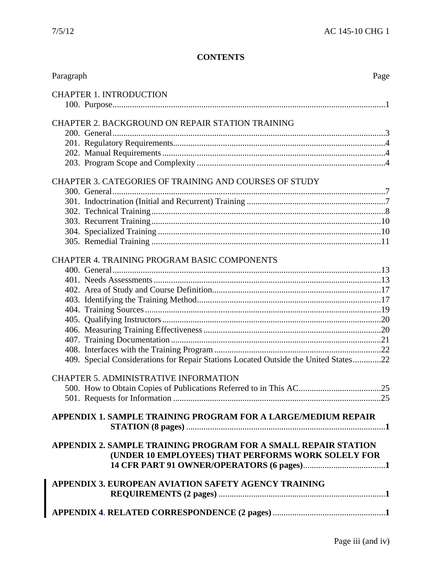## **CONTENTS**

| Paragraph                                                                           | Page |
|-------------------------------------------------------------------------------------|------|
| <b>CHAPTER 1. INTRODUCTION</b>                                                      |      |
|                                                                                     |      |
|                                                                                     |      |
| CHAPTER 2. BACKGROUND ON REPAIR STATION TRAINING                                    |      |
|                                                                                     |      |
|                                                                                     |      |
|                                                                                     |      |
|                                                                                     |      |
| CHAPTER 3. CATEGORIES OF TRAINING AND COURSES OF STUDY                              |      |
|                                                                                     |      |
|                                                                                     |      |
|                                                                                     |      |
|                                                                                     |      |
|                                                                                     |      |
|                                                                                     |      |
| <b>CHAPTER 4. TRAINING PROGRAM BASIC COMPONENTS</b>                                 |      |
|                                                                                     |      |
|                                                                                     |      |
|                                                                                     |      |
|                                                                                     |      |
|                                                                                     |      |
|                                                                                     |      |
|                                                                                     |      |
|                                                                                     |      |
| 409. Special Considerations for Repair Stations Located Outside the United States22 |      |
|                                                                                     |      |
| <b>CHAPTER 5. ADMINISTRATIVE INFORMATION</b>                                        |      |
|                                                                                     |      |
|                                                                                     |      |
| APPENDIX 1. SAMPLE TRAINING PROGRAM FOR A LARGE/MEDIUM REPAIR                       |      |
|                                                                                     |      |
| APPENDIX 2. SAMPLE TRAINING PROGRAM FOR A SMALL REPAIR STATION                      |      |
| (UNDER 10 EMPLOYEES) THAT PERFORMS WORK SOLELY FOR                                  |      |
|                                                                                     |      |
| <b>APPENDIX 3. EUROPEAN AVIATION SAFETY AGENCY TRAINING</b>                         |      |
|                                                                                     |      |
|                                                                                     |      |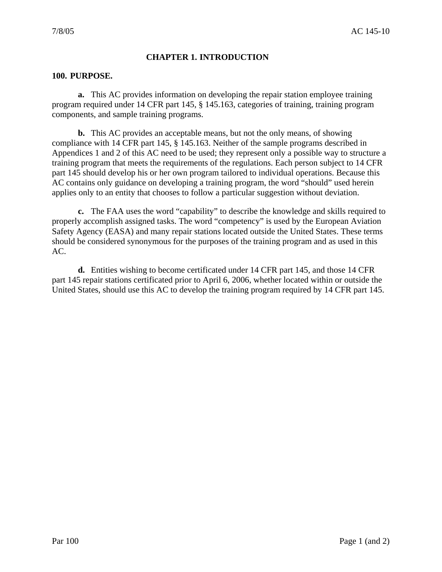#### **CHAPTER 1. INTRODUCTION**

#### **100. PURPOSE.**

**a.** This AC provides information on developing the repair station employee training program required under 14 CFR part 145, § 145.163, categories of training, training program components, and sample training programs.

**b.** This AC provides an acceptable means, but not the only means, of showing compliance with 14 CFR part 145, § 145.163. Neither of the sample programs described in Appendices 1 and 2 of this AC need to be used; they represent only a possible way to structure a training program that meets the requirements of the regulations. Each person subject to 14 CFR part 145 should develop his or her own program tailored to individual operations. Because this AC contains only guidance on developing a training program, the word "should" used herein applies only to an entity that chooses to follow a particular suggestion without deviation.

**c.** The FAA uses the word "capability" to describe the knowledge and skills required to properly accomplish assigned tasks. The word "competency" is used by the European Aviation Safety Agency (EASA) and many repair stations located outside the United States. These terms should be considered synonymous for the purposes of the training program and as used in this AC.

**d.** Entities wishing to become certificated under 14 CFR part 145, and those 14 CFR part 145 repair stations certificated prior to April 6, 2006, whether located within or outside the United States, should use this AC to develop the training program required by 14 CFR part 145.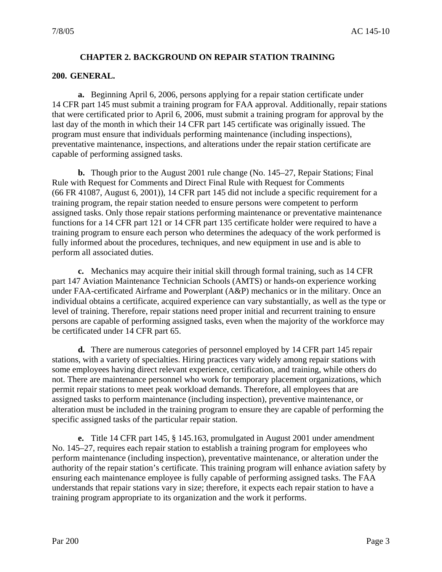#### **CHAPTER 2. BACKGROUND ON REPAIR STATION TRAINING**

#### **200. GENERAL.**

**a.** Beginning April 6, 2006, persons applying for a repair station certificate under 14 CFR part 145 must submit a training program for FAA approval. Additionally, repair stations that were certificated prior to April 6, 2006, must submit a training program for approval by the last day of the month in which their 14 CFR part 145 certificate was originally issued. The program must ensure that individuals performing maintenance (including inspections), preventative maintenance, inspections, and alterations under the repair station certificate are capable of performing assigned tasks.

**b.** Though prior to the August 2001 rule change (No. 145–27, Repair Stations; Final Rule with Request for Comments and Direct Final Rule with Request for Comments (66 FR 41087, August 6, 2001)), 14 CFR part 145 did not include a specific requirement for a training program, the repair station needed to ensure persons were competent to perform assigned tasks. Only those repair stations performing maintenance or preventative maintenance functions for a 14 CFR part 121 or 14 CFR part 135 certificate holder were required to have a training program to ensure each person who determines the adequacy of the work performed is fully informed about the procedures, techniques, and new equipment in use and is able to perform all associated duties.

**c.** Mechanics may acquire their initial skill through formal training, such as 14 CFR part 147 Aviation Maintenance Technician Schools (AMTS) or hands-on experience working under FAA-certificated Airframe and Powerplant (A&P) mechanics or in the military. Once an individual obtains a certificate, acquired experience can vary substantially, as well as the type or level of training. Therefore, repair stations need proper initial and recurrent training to ensure persons are capable of performing assigned tasks, even when the majority of the workforce may be certificated under 14 CFR part 65.

**d.** There are numerous categories of personnel employed by 14 CFR part 145 repair stations, with a variety of specialties. Hiring practices vary widely among repair stations with some employees having direct relevant experience, certification, and training, while others do not. There are maintenance personnel who work for temporary placement organizations, which permit repair stations to meet peak workload demands. Therefore, all employees that are assigned tasks to perform maintenance (including inspection), preventive maintenance, or alteration must be included in the training program to ensure they are capable of performing the specific assigned tasks of the particular repair station.

**e.** Title 14 CFR part 145, § 145.163, promulgated in August 2001 under amendment No. 145–27, requires each repair station to establish a training program for employees who perform maintenance (including inspection), preventative maintenance, or alteration under the authority of the repair station's certificate. This training program will enhance aviation safety by ensuring each maintenance employee is fully capable of performing assigned tasks. The FAA understands that repair stations vary in size; therefore, it expects each repair station to have a training program appropriate to its organization and the work it performs.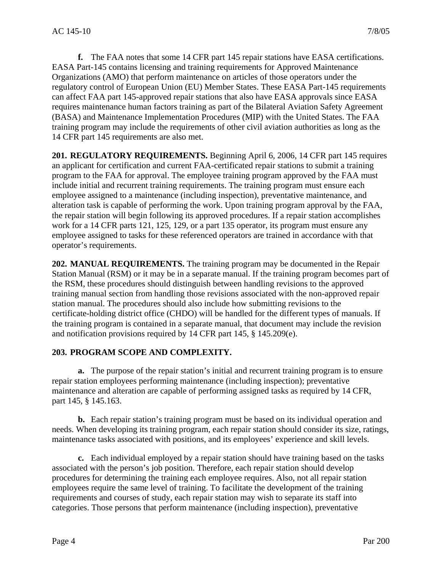**f.** The FAA notes that some 14 CFR part 145 repair stations have EASA certifications. EASA Part-145 contains licensing and training requirements for Approved Maintenance Organizations (AMO) that perform maintenance on articles of those operators under the regulatory control of European Union (EU) Member States. These EASA Part-145 requirements can affect FAA part 145-approved repair stations that also have EASA approvals since EASA requires maintenance human factors training as part of the Bilateral Aviation Safety Agreement (BASA) and Maintenance Implementation Procedures (MIP) with the United States. The FAA training program may include the requirements of other civil aviation authorities as long as the 14 CFR part 145 requirements are also met.

**201. REGULATORY REQUIREMENTS.** Beginning April 6, 2006, 14 CFR part 145 requires an applicant for certification and current FAA-certificated repair stations to submit a training program to the FAA for approval. The employee training program approved by the FAA must include initial and recurrent training requirements. The training program must ensure each employee assigned to a maintenance (including inspection), preventative maintenance, and alteration task is capable of performing the work. Upon training program approval by the FAA, the repair station will begin following its approved procedures. If a repair station accomplishes work for a 14 CFR parts 121, 125, 129, or a part 135 operator, its program must ensure any employee assigned to tasks for these referenced operators are trained in accordance with that operator's requirements.

**202. MANUAL REQUIREMENTS.** The training program may be documented in the Repair Station Manual (RSM) or it may be in a separate manual. If the training program becomes part of the RSM, these procedures should distinguish between handling revisions to the approved training manual section from handling those revisions associated with the non-approved repair station manual. The procedures should also include how submitting revisions to the certificate-holding district office (CHDO) will be handled for the different types of manuals. If the training program is contained in a separate manual, that document may include the revision and notification provisions required by 14 CFR part 145, § 145.209(e).

## **203. PROGRAM SCOPE AND COMPLEXITY.**

**a.** The purpose of the repair station's initial and recurrent training program is to ensure repair station employees performing maintenance (including inspection); preventative maintenance and alteration are capable of performing assigned tasks as required by 14 CFR, part 145, § 145.163.

**b.** Each repair station's training program must be based on its individual operation and needs. When developing its training program, each repair station should consider its size, ratings, maintenance tasks associated with positions, and its employees' experience and skill levels.

**c.** Each individual employed by a repair station should have training based on the tasks associated with the person's job position. Therefore, each repair station should develop procedures for determining the training each employee requires. Also, not all repair station employees require the same level of training. To facilitate the development of the training requirements and courses of study, each repair station may wish to separate its staff into categories. Those persons that perform maintenance (including inspection), preventative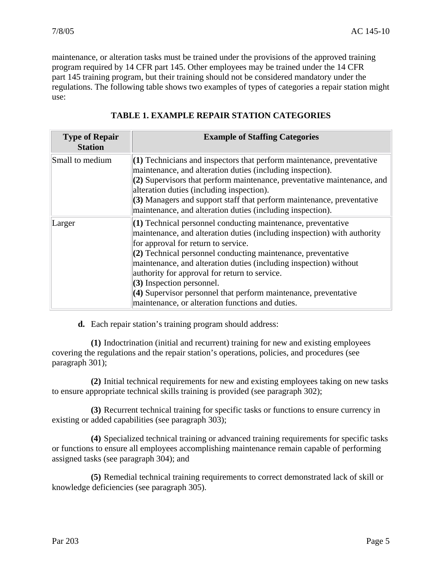maintenance, or alteration tasks must be trained under the provisions of the approved training program required by 14 CFR part 145. Other employees may be trained under the 14 CFR part 145 training program, but their training should not be considered mandatory under the regulations. The following table shows two examples of types of categories a repair station might use:

| <b>Type of Repair</b><br><b>Station</b> | <b>Example of Staffing Categories</b>                                                                                                                                                                                                                                                                                                                                                                                                                                                                                       |
|-----------------------------------------|-----------------------------------------------------------------------------------------------------------------------------------------------------------------------------------------------------------------------------------------------------------------------------------------------------------------------------------------------------------------------------------------------------------------------------------------------------------------------------------------------------------------------------|
| Small to medium                         | $(1)$ Technicians and inspectors that perform maintenance, preventative<br>maintenance, and alteration duties (including inspection).<br>(2) Supervisors that perform maintenance, preventative maintenance, and<br>alteration duties (including inspection).<br>(3) Managers and support staff that perform maintenance, preventative<br>maintenance, and alteration duties (including inspection).                                                                                                                        |
| Larger                                  | $(1)$ Technical personnel conducting maintenance, preventative<br>maintenance, and alteration duties (including inspection) with authority<br>for approval for return to service.<br>(2) Technical personnel conducting maintenance, preventative<br>maintenance, and alteration duties (including inspection) without<br>authority for approval for return to service.<br>(3) Inspection personnel.<br>(4) Supervisor personnel that perform maintenance, preventative<br>maintenance, or alteration functions and duties. |

## **TABLE 1. EXAMPLE REPAIR STATION CATEGORIES**

**d.** Each repair station's training program should address:

**(1)** Indoctrination (initial and recurrent) training for new and existing employees covering the regulations and the repair station's operations, policies, and procedures (see paragraph 301);

**(2)** Initial technical requirements for new and existing employees taking on new tasks to ensure appropriate technical skills training is provided (see paragraph 302);

**(3)** Recurrent technical training for specific tasks or functions to ensure currency in existing or added capabilities (see paragraph 303);

**(4)** Specialized technical training or advanced training requirements for specific tasks or functions to ensure all employees accomplishing maintenance remain capable of performing assigned tasks (see paragraph 304); and

**(5)** Remedial technical training requirements to correct demonstrated lack of skill or knowledge deficiencies (see paragraph 305).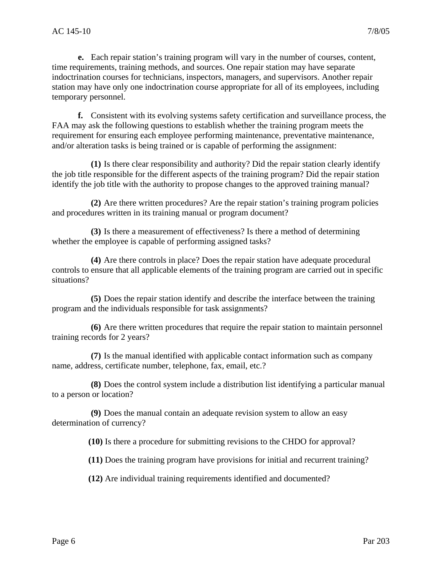**e.** Each repair station's training program will vary in the number of courses, content, time requirements, training methods, and sources. One repair station may have separate indoctrination courses for technicians, inspectors, managers, and supervisors. Another repair station may have only one indoctrination course appropriate for all of its employees, including temporary personnel.

**f.** Consistent with its evolving systems safety certification and surveillance process, the FAA may ask the following questions to establish whether the training program meets the requirement for ensuring each employee performing maintenance, preventative maintenance, and/or alteration tasks is being trained or is capable of performing the assignment:

**(1)** Is there clear responsibility and authority? Did the repair station clearly identify the job title responsible for the different aspects of the training program? Did the repair station identify the job title with the authority to propose changes to the approved training manual?

**(2)** Are there written procedures? Are the repair station's training program policies and procedures written in its training manual or program document?

**(3)** Is there a measurement of effectiveness? Is there a method of determining whether the employee is capable of performing assigned tasks?

**(4)** Are there controls in place? Does the repair station have adequate procedural controls to ensure that all applicable elements of the training program are carried out in specific situations?

**(5)** Does the repair station identify and describe the interface between the training program and the individuals responsible for task assignments?

**(6)** Are there written procedures that require the repair station to maintain personnel training records for 2 years?

**(7)** Is the manual identified with applicable contact information such as company name, address, certificate number, telephone, fax, email, etc.?

**(8)** Does the control system include a distribution list identifying a particular manual to a person or location?

**(9)** Does the manual contain an adequate revision system to allow an easy determination of currency?

**(10)** Is there a procedure for submitting revisions to the CHDO for approval?

**(11)** Does the training program have provisions for initial and recurrent training?

**(12)** Are individual training requirements identified and documented?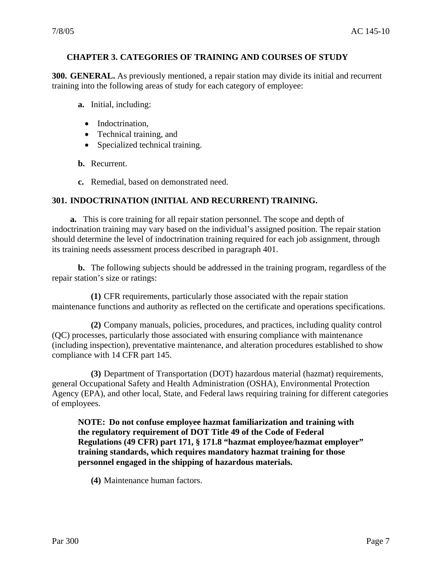#### **CHAPTER 3. CATEGORIES OF TRAINING AND COURSES OF STUDY**

**300. GENERAL.** As previously mentioned, a repair station may divide its initial and recurrent training into the following areas of study for each category of employee:

- **a.** Initial, including:
	- Indoctrination,
	- Technical training, and
	- Specialized technical training.
- **b.** Recurrent.
- **c.** Remedial, based on demonstrated need.

#### **301. INDOCTRINATION (INITIAL AND RECURRENT) TRAINING.**

**a.** This is core training for all repair station personnel. The scope and depth of indoctrination training may vary based on the individual's assigned position. The repair station should determine the level of indoctrination training required for each job assignment, through its training needs assessment process described in paragraph 401.

**b.** The following subjects should be addressed in the training program, regardless of the repair station's size or ratings:

**(1)** CFR requirements, particularly those associated with the repair station maintenance functions and authority as reflected on the certificate and operations specifications.

**(2)** Company manuals, policies, procedures, and practices, including quality control (QC) processes, particularly those associated with ensuring compliance with maintenance (including inspection), preventative maintenance, and alteration procedures established to show compliance with 14 CFR part 145.

**(3)** Department of Transportation (DOT) hazardous material (hazmat) requirements, general Occupational Safety and Health Administration (OSHA), Environmental Protection Agency (EPA), and other local, State, and Federal laws requiring training for different categories of employees.

**NOTE: Do not confuse employee hazmat familiarization and training with the regulatory requirement of DOT Title 49 of the Code of Federal Regulations (49 CFR) part 171, § 171.8 "hazmat employee/hazmat employer" training standards, which requires mandatory hazmat training for those personnel engaged in the shipping of hazardous materials.** 

**(4)** Maintenance human factors.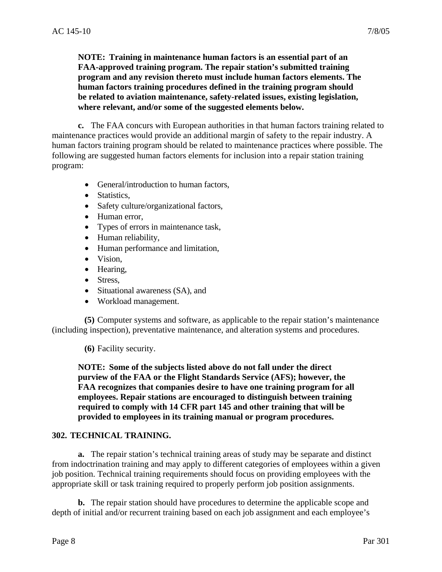**NOTE: Training in maintenance human factors is an essential part of an FAA-approved training program. The repair station's submitted training program and any revision thereto must include human factors elements. The human factors training procedures defined in the training program should be related to aviation maintenance, safety-related issues, existing legislation, where relevant, and/or some of the suggested elements below.** 

**c.** The FAA concurs with European authorities in that human factors training related to maintenance practices would provide an additional margin of safety to the repair industry. A human factors training program should be related to maintenance practices where possible. The following are suggested human factors elements for inclusion into a repair station training program:

- General/introduction to human factors,
- Statistics.
- Safety culture/organizational factors,
- Human error,
- Types of errors in maintenance task,
- Human reliability,
- Human performance and limitation,
- Vision,
- Hearing,
- Stress.
- Situational awareness (SA), and
- Workload management.

**(5)** Computer systems and software, as applicable to the repair station's maintenance (including inspection), preventative maintenance, and alteration systems and procedures.

**(6)** Facility security.

**NOTE: Some of the subjects listed above do not fall under the direct purview of the FAA or the Flight Standards Service (AFS); however, the FAA recognizes that companies desire to have one training program for all employees. Repair stations are encouraged to distinguish between training required to comply with 14 CFR part 145 and other training that will be provided to employees in its training manual or program procedures.** 

#### **302. TECHNICAL TRAINING.**

**a.** The repair station's technical training areas of study may be separate and distinct from indoctrination training and may apply to different categories of employees within a given job position. Technical training requirements should focus on providing employees with the appropriate skill or task training required to properly perform job position assignments.

**b.** The repair station should have procedures to determine the applicable scope and depth of initial and/or recurrent training based on each job assignment and each employee's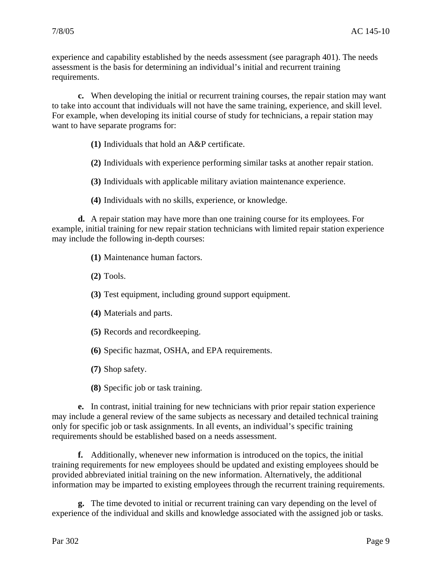experience and capability established by the needs assessment (see paragraph 401). The needs assessment is the basis for determining an individual's initial and recurrent training requirements.

**c.** When developing the initial or recurrent training courses, the repair station may want to take into account that individuals will not have the same training, experience, and skill level. For example, when developing its initial course of study for technicians, a repair station may want to have separate programs for:

- **(1)** Individuals that hold an A&P certificate.
- **(2)** Individuals with experience performing similar tasks at another repair station.
- **(3)** Individuals with applicable military aviation maintenance experience.
- **(4)** Individuals with no skills, experience, or knowledge.

**d.** A repair station may have more than one training course for its employees. For example, initial training for new repair station technicians with limited repair station experience may include the following in-depth courses:

- **(1)** Maintenance human factors.
- **(2)** Tools.
- **(3)** Test equipment, including ground support equipment.
- **(4)** Materials and parts.
- **(5)** Records and recordkeeping.
- **(6)** Specific hazmat, OSHA, and EPA requirements.
- **(7)** Shop safety.
- **(8)** Specific job or task training.

**e.** In contrast, initial training for new technicians with prior repair station experience may include a general review of the same subjects as necessary and detailed technical training only for specific job or task assignments. In all events, an individual's specific training requirements should be established based on a needs assessment.

**f.** Additionally, whenever new information is introduced on the topics, the initial training requirements for new employees should be updated and existing employees should be provided abbreviated initial training on the new information. Alternatively, the additional information may be imparted to existing employees through the recurrent training requirements.

**g.** The time devoted to initial or recurrent training can vary depending on the level of experience of the individual and skills and knowledge associated with the assigned job or tasks.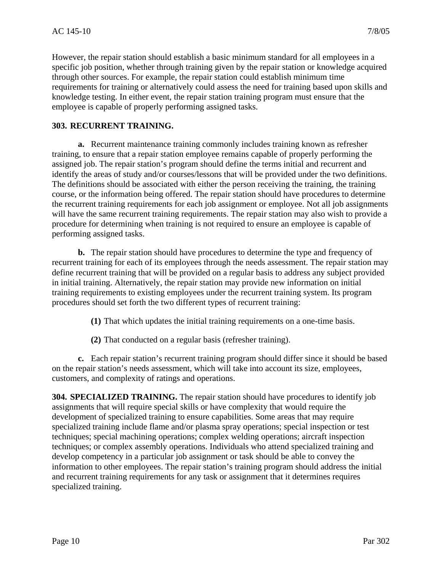However, the repair station should establish a basic minimum standard for all employees in a specific job position, whether through training given by the repair station or knowledge acquired through other sources. For example, the repair station could establish minimum time requirements for training or alternatively could assess the need for training based upon skills and knowledge testing. In either event, the repair station training program must ensure that the employee is capable of properly performing assigned tasks.

## **303. RECURRENT TRAINING.**

**a.** Recurrent maintenance training commonly includes training known as refresher training, to ensure that a repair station employee remains capable of properly performing the assigned job. The repair station's program should define the terms initial and recurrent and identify the areas of study and/or courses/lessons that will be provided under the two definitions. The definitions should be associated with either the person receiving the training, the training course, or the information being offered. The repair station should have procedures to determine the recurrent training requirements for each job assignment or employee. Not all job assignments will have the same recurrent training requirements. The repair station may also wish to provide a procedure for determining when training is not required to ensure an employee is capable of performing assigned tasks.

**b.** The repair station should have procedures to determine the type and frequency of recurrent training for each of its employees through the needs assessment. The repair station may define recurrent training that will be provided on a regular basis to address any subject provided in initial training. Alternatively, the repair station may provide new information on initial training requirements to existing employees under the recurrent training system. Its program procedures should set forth the two different types of recurrent training:

**(1)** That which updates the initial training requirements on a one-time basis.

**(2)** That conducted on a regular basis (refresher training).

**c.** Each repair station's recurrent training program should differ since it should be based on the repair station's needs assessment, which will take into account its size, employees, customers, and complexity of ratings and operations.

**304. SPECIALIZED TRAINING.** The repair station should have procedures to identify job assignments that will require special skills or have complexity that would require the development of specialized training to ensure capabilities. Some areas that may require specialized training include flame and/or plasma spray operations; special inspection or test techniques; special machining operations; complex welding operations; aircraft inspection techniques; or complex assembly operations. Individuals who attend specialized training and develop competency in a particular job assignment or task should be able to convey the information to other employees. The repair station's training program should address the initial and recurrent training requirements for any task or assignment that it determines requires specialized training.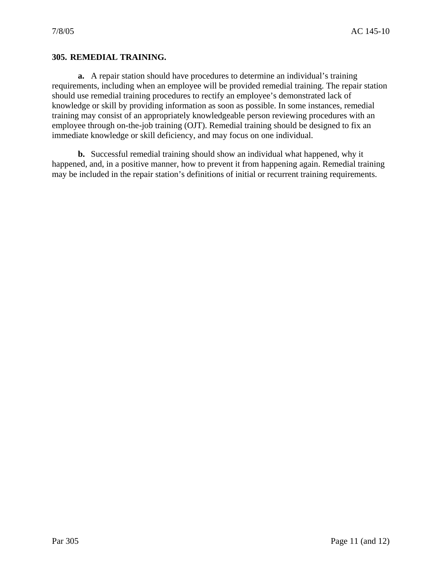## **305. REMEDIAL TRAINING.**

**a.** A repair station should have procedures to determine an individual's training requirements, including when an employee will be provided remedial training. The repair station should use remedial training procedures to rectify an employee's demonstrated lack of knowledge or skill by providing information as soon as possible. In some instances, remedial training may consist of an appropriately knowledgeable person reviewing procedures with an employee through on-the-job training (OJT). Remedial training should be designed to fix an immediate knowledge or skill deficiency, and may focus on one individual.

**b.** Successful remedial training should show an individual what happened, why it happened, and, in a positive manner, how to prevent it from happening again. Remedial training may be included in the repair station's definitions of initial or recurrent training requirements.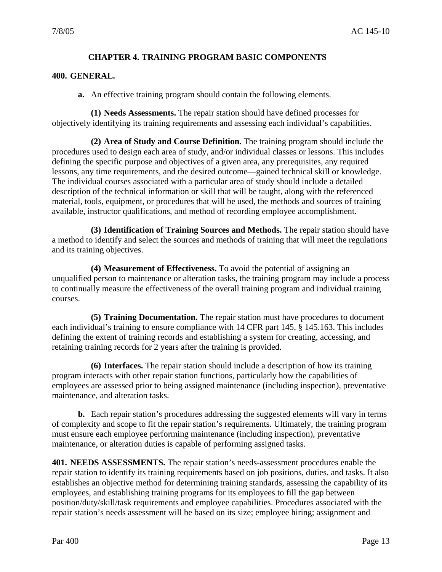## **CHAPTER 4. TRAINING PROGRAM BASIC COMPONENTS**

#### **400. GENERAL.**

**a.** An effective training program should contain the following elements.

**(1) Needs Assessments.** The repair station should have defined processes for objectively identifying its training requirements and assessing each individual's capabilities.

**(2) Area of Study and Course Definition.** The training program should include the procedures used to design each area of study, and/or individual classes or lessons. This includes defining the specific purpose and objectives of a given area, any prerequisites, any required lessons, any time requirements, and the desired outcome—gained technical skill or knowledge. The individual courses associated with a particular area of study should include a detailed description of the technical information or skill that will be taught, along with the referenced material, tools, equipment, or procedures that will be used, the methods and sources of training available, instructor qualifications, and method of recording employee accomplishment.

**(3) Identification of Training Sources and Methods.** The repair station should have a method to identify and select the sources and methods of training that will meet the regulations and its training objectives.

**(4) Measurement of Effectiveness.** To avoid the potential of assigning an unqualified person to maintenance or alteration tasks, the training program may include a process to continually measure the effectiveness of the overall training program and individual training courses.

**(5) Training Documentation.** The repair station must have procedures to document each individual's training to ensure compliance with 14 CFR part 145, § 145.163. This includes defining the extent of training records and establishing a system for creating, accessing, and retaining training records for 2 years after the training is provided.

**(6) Interfaces.** The repair station should include a description of how its training program interacts with other repair station functions, particularly how the capabilities of employees are assessed prior to being assigned maintenance (including inspection), preventative maintenance, and alteration tasks.

**b.** Each repair station's procedures addressing the suggested elements will vary in terms of complexity and scope to fit the repair station's requirements. Ultimately, the training program must ensure each employee performing maintenance (including inspection), preventative maintenance, or alteration duties is capable of performing assigned tasks.

**401. NEEDS ASSESSMENTS.** The repair station's needs-assessment procedures enable the repair station to identify its training requirements based on job positions, duties, and tasks. It also establishes an objective method for determining training standards, assessing the capability of its employees, and establishing training programs for its employees to fill the gap between position/duty/skill/task requirements and employee capabilities. Procedures associated with the repair station's needs assessment will be based on its size; employee hiring; assignment and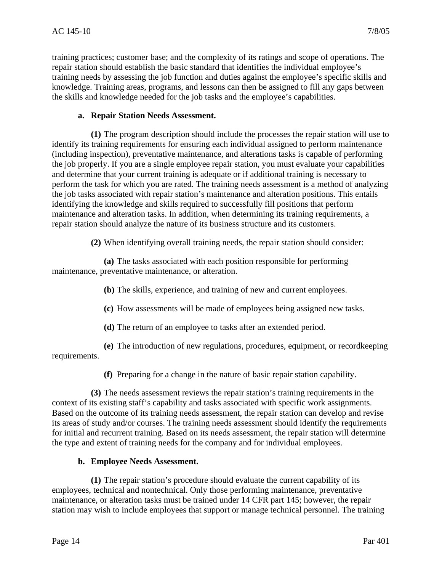training practices; customer base; and the complexity of its ratings and scope of operations. The repair station should establish the basic standard that identifies the individual employee's training needs by assessing the job function and duties against the employee's specific skills and knowledge. Training areas, programs, and lessons can then be assigned to fill any gaps between the skills and knowledge needed for the job tasks and the employee's capabilities.

#### **a. Repair Station Needs Assessment.**

**(1)** The program description should include the processes the repair station will use to identify its training requirements for ensuring each individual assigned to perform maintenance (including inspection), preventative maintenance, and alterations tasks is capable of performing the job properly. If you are a single employee repair station, you must evaluate your capabilities and determine that your current training is adequate or if additional training is necessary to perform the task for which you are rated. The training needs assessment is a method of analyzing the job tasks associated with repair station's maintenance and alteration positions. This entails identifying the knowledge and skills required to successfully fill positions that perform maintenance and alteration tasks. In addition, when determining its training requirements, a repair station should analyze the nature of its business structure and its customers.

**(2)** When identifying overall training needs, the repair station should consider:

**(a)** The tasks associated with each position responsible for performing maintenance, preventative maintenance, or alteration.

**(b)** The skills, experience, and training of new and current employees.

**(c)** How assessments will be made of employees being assigned new tasks.

**(d)** The return of an employee to tasks after an extended period.

**(e)** The introduction of new regulations, procedures, equipment, or recordkeeping requirements.

**(f)** Preparing for a change in the nature of basic repair station capability.

**(3)** The needs assessment reviews the repair station's training requirements in the context of its existing staff's capability and tasks associated with specific work assignments. Based on the outcome of its training needs assessment, the repair station can develop and revise its areas of study and/or courses. The training needs assessment should identify the requirements for initial and recurrent training. Based on its needs assessment, the repair station will determine the type and extent of training needs for the company and for individual employees.

#### **b. Employee Needs Assessment.**

**(1)** The repair station's procedure should evaluate the current capability of its employees, technical and nontechnical. Only those performing maintenance, preventative maintenance, or alteration tasks must be trained under 14 CFR part 145; however, the repair station may wish to include employees that support or manage technical personnel. The training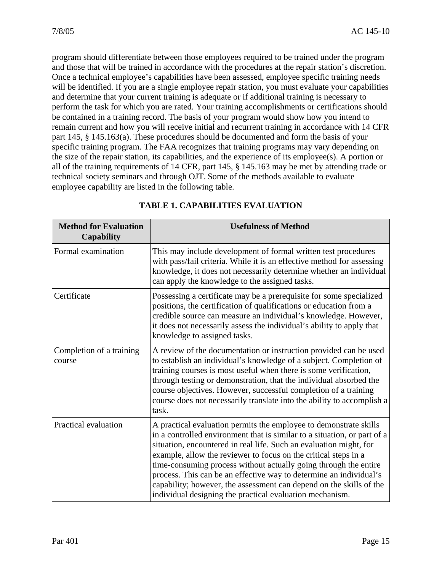program should differentiate between those employees required to be trained under the program and those that will be trained in accordance with the procedures at the repair station's discretion. Once a technical employee's capabilities have been assessed, employee specific training needs will be identified. If you are a single employee repair station, you must evaluate your capabilities and determine that your current training is adequate or if additional training is necessary to perform the task for which you are rated. Your training accomplishments or certifications should be contained in a training record. The basis of your program would show how you intend to remain current and how you will receive initial and recurrent training in accordance with 14 CFR part 145, § 145.163(a). These procedures should be documented and form the basis of your specific training program. The FAA recognizes that training programs may vary depending on the size of the repair station, its capabilities, and the experience of its employee(s). A portion or all of the training requirements of 14 CFR, part 145, § 145.163 may be met by attending trade or technical society seminars and through OJT. Some of the methods available to evaluate employee capability are listed in the following table.

| <b>Method for Evaluation</b><br><b>Capability</b> | <b>Usefulness of Method</b>                                                                                                                                                                                                                                                                                                                                                                                                                                                                                                                                         |
|---------------------------------------------------|---------------------------------------------------------------------------------------------------------------------------------------------------------------------------------------------------------------------------------------------------------------------------------------------------------------------------------------------------------------------------------------------------------------------------------------------------------------------------------------------------------------------------------------------------------------------|
| Formal examination                                | This may include development of formal written test procedures<br>with pass/fail criteria. While it is an effective method for assessing<br>knowledge, it does not necessarily determine whether an individual<br>can apply the knowledge to the assigned tasks.                                                                                                                                                                                                                                                                                                    |
| Certificate                                       | Possessing a certificate may be a prerequisite for some specialized<br>positions, the certification of qualifications or education from a<br>credible source can measure an individual's knowledge. However,<br>it does not necessarily assess the individual's ability to apply that<br>knowledge to assigned tasks.                                                                                                                                                                                                                                               |
| Completion of a training<br>course                | A review of the documentation or instruction provided can be used<br>to establish an individual's knowledge of a subject. Completion of<br>training courses is most useful when there is some verification,<br>through testing or demonstration, that the individual absorbed the<br>course objectives. However, successful completion of a training<br>course does not necessarily translate into the ability to accomplish a<br>task.                                                                                                                             |
| Practical evaluation                              | A practical evaluation permits the employee to demonstrate skills<br>in a controlled environment that is similar to a situation, or part of a<br>situation, encountered in real life. Such an evaluation might, for<br>example, allow the reviewer to focus on the critical steps in a<br>time-consuming process without actually going through the entire<br>process. This can be an effective way to determine an individual's<br>capability; however, the assessment can depend on the skills of the<br>individual designing the practical evaluation mechanism. |

## **TABLE 1. CAPABILITIES EVALUATION**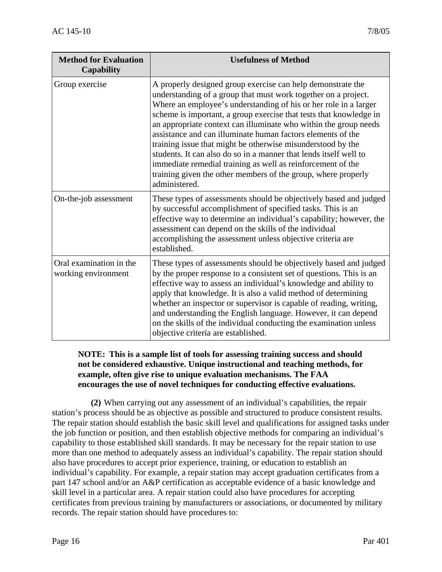| <b>Method for Evaluation</b><br>Capability     | <b>Usefulness of Method</b>                                                                                                                                                                                                                                                                                                                                                                                                                                                                                                                                                                                                                                                                     |
|------------------------------------------------|-------------------------------------------------------------------------------------------------------------------------------------------------------------------------------------------------------------------------------------------------------------------------------------------------------------------------------------------------------------------------------------------------------------------------------------------------------------------------------------------------------------------------------------------------------------------------------------------------------------------------------------------------------------------------------------------------|
| Group exercise                                 | A properly designed group exercise can help demonstrate the<br>understanding of a group that must work together on a project.<br>Where an employee's understanding of his or her role in a larger<br>scheme is important, a group exercise that tests that knowledge in<br>an appropriate context can illuminate who within the group needs<br>assistance and can illuminate human factors elements of the<br>training issue that might be otherwise misunderstood by the<br>students. It can also do so in a manner that lends itself well to<br>immediate remedial training as well as reinforcement of the<br>training given the other members of the group, where properly<br>administered. |
| On-the-job assessment                          | These types of assessments should be objectively based and judged<br>by successful accomplishment of specified tasks. This is an<br>effective way to determine an individual's capability; however, the<br>assessment can depend on the skills of the individual<br>accomplishing the assessment unless objective criteria are<br>established.                                                                                                                                                                                                                                                                                                                                                  |
| Oral examination in the<br>working environment | These types of assessments should be objectively based and judged<br>by the proper response to a consistent set of questions. This is an<br>effective way to assess an individual's knowledge and ability to<br>apply that knowledge. It is also a valid method of determining<br>whether an inspector or supervisor is capable of reading, writing,<br>and understanding the English language. However, it can depend<br>on the skills of the individual conducting the examination unless<br>objective criteria are established.                                                                                                                                                              |

#### **NOTE: This is a sample list of tools for assessing training success and should not be considered exhaustive. Unique instructional and teaching methods, for example, often give rise to unique evaluation mechanisms. The FAA encourages the use of novel techniques for conducting effective evaluations.**

**(2)** When carrying out any assessment of an individual's capabilities, the repair station's process should be as objective as possible and structured to produce consistent results. The repair station should establish the basic skill level and qualifications for assigned tasks under the job function or position, and then establish objective methods for comparing an individual's capability to those established skill standards. It may be necessary for the repair station to use more than one method to adequately assess an individual's capability. The repair station should also have procedures to accept prior experience, training, or education to establish an individual's capability. For example, a repair station may accept graduation certificates from a part 147 school and/or an A&P certification as acceptable evidence of a basic knowledge and skill level in a particular area. A repair station could also have procedures for accepting certificates from previous training by manufacturers or associations, or documented by military records. The repair station should have procedures to: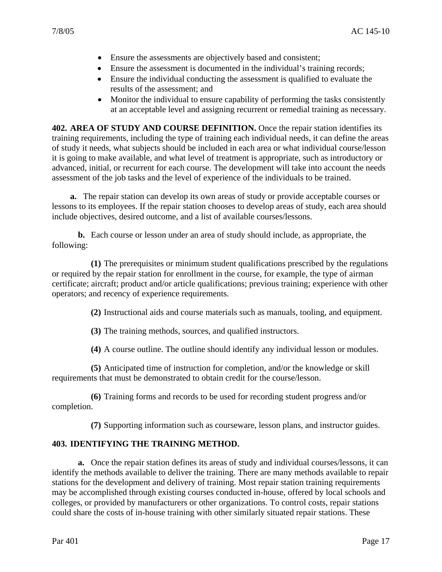- Ensure the assessments are objectively based and consistent;
- Ensure the assessment is documented in the individual's training records;
- Ensure the individual conducting the assessment is qualified to evaluate the results of the assessment; and
- Monitor the individual to ensure capability of performing the tasks consistently at an acceptable level and assigning recurrent or remedial training as necessary.

**402. AREA OF STUDY AND COURSE DEFINITION.** Once the repair station identifies its training requirements, including the type of training each individual needs, it can define the areas of study it needs, what subjects should be included in each area or what individual course/lesson it is going to make available, and what level of treatment is appropriate, such as introductory or advanced, initial, or recurrent for each course. The development will take into account the needs assessment of the job tasks and the level of experience of the individuals to be trained.

**a.** The repair station can develop its own areas of study or provide acceptable courses or lessons to its employees. If the repair station chooses to develop areas of study, each area should include objectives, desired outcome, and a list of available courses/lessons.

**b.** Each course or lesson under an area of study should include, as appropriate, the following:

**(1)** The prerequisites or minimum student qualifications prescribed by the regulations or required by the repair station for enrollment in the course, for example, the type of airman certificate; aircraft; product and/or article qualifications; previous training; experience with other operators; and recency of experience requirements.

**(2)** Instructional aids and course materials such as manuals, tooling, and equipment.

**(3)** The training methods, sources, and qualified instructors.

**(4)** A course outline. The outline should identify any individual lesson or modules.

**(5)** Anticipated time of instruction for completion, and/or the knowledge or skill requirements that must be demonstrated to obtain credit for the course/lesson.

**(6)** Training forms and records to be used for recording student progress and/or completion.

**(7)** Supporting information such as courseware, lesson plans, and instructor guides.

## **403. IDENTIFYING THE TRAINING METHOD.**

**a.** Once the repair station defines its areas of study and individual courses/lessons, it can identify the methods available to deliver the training. There are many methods available to repair stations for the development and delivery of training. Most repair station training requirements may be accomplished through existing courses conducted in-house, offered by local schools and colleges, or provided by manufacturers or other organizations. To control costs, repair stations could share the costs of in-house training with other similarly situated repair stations. These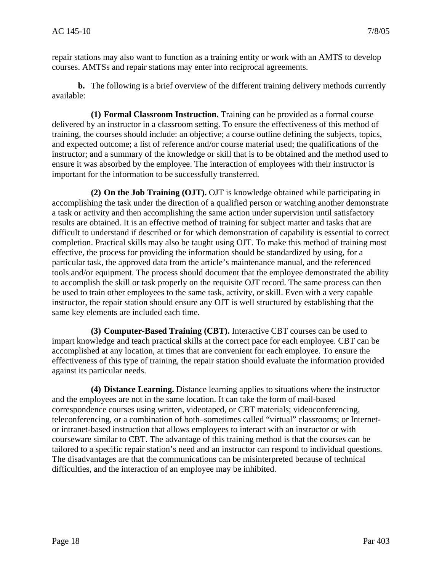repair stations may also want to function as a training entity or work with an AMTS to develop courses. AMTSs and repair stations may enter into reciprocal agreements.

**b.** The following is a brief overview of the different training delivery methods currently available:

**(1) Formal Classroom Instruction.** Training can be provided as a formal course delivered by an instructor in a classroom setting. To ensure the effectiveness of this method of training, the courses should include: an objective; a course outline defining the subjects, topics, and expected outcome; a list of reference and/or course material used; the qualifications of the instructor; and a summary of the knowledge or skill that is to be obtained and the method used to ensure it was absorbed by the employee. The interaction of employees with their instructor is important for the information to be successfully transferred.

**(2) On the Job Training (OJT).** OJT is knowledge obtained while participating in accomplishing the task under the direction of a qualified person or watching another demonstrate a task or activity and then accomplishing the same action under supervision until satisfactory results are obtained. It is an effective method of training for subject matter and tasks that are difficult to understand if described or for which demonstration of capability is essential to correct completion. Practical skills may also be taught using OJT. To make this method of training most effective, the process for providing the information should be standardized by using, for a particular task, the approved data from the article's maintenance manual, and the referenced tools and/or equipment. The process should document that the employee demonstrated the ability to accomplish the skill or task properly on the requisite OJT record. The same process can then be used to train other employees to the same task, activity, or skill. Even with a very capable instructor, the repair station should ensure any OJT is well structured by establishing that the same key elements are included each time.

**(3) Computer-Based Training (CBT).** Interactive CBT courses can be used to impart knowledge and teach practical skills at the correct pace for each employee. CBT can be accomplished at any location, at times that are convenient for each employee. To ensure the effectiveness of this type of training, the repair station should evaluate the information provided against its particular needs.

**(4) Distance Learning.** Distance learning applies to situations where the instructor and the employees are not in the same location. It can take the form of mail-based correspondence courses using written, videotaped, or CBT materials; videoconferencing, teleconferencing, or a combination of both–sometimes called "virtual" classrooms; or Internetor intranet-based instruction that allows employees to interact with an instructor or with courseware similar to CBT. The advantage of this training method is that the courses can be tailored to a specific repair station's need and an instructor can respond to individual questions. The disadvantages are that the communications can be misinterpreted because of technical difficulties, and the interaction of an employee may be inhibited.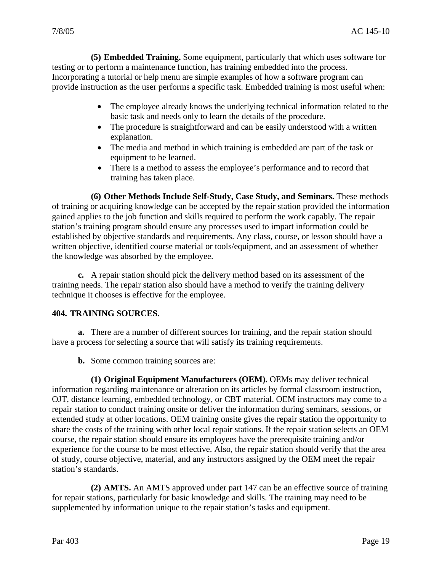**(5) Embedded Training.** Some equipment, particularly that which uses software for testing or to perform a maintenance function, has training embedded into the process. Incorporating a tutorial or help menu are simple examples of how a software program can provide instruction as the user performs a specific task. Embedded training is most useful when:

- The employee already knows the underlying technical information related to the basic task and needs only to learn the details of the procedure.
- The procedure is straightforward and can be easily understood with a written explanation.
- The media and method in which training is embedded are part of the task or equipment to be learned.
- There is a method to assess the employee's performance and to record that training has taken place.

**(6) Other Methods Include Self-Study, Case Study, and Seminars.** These methods of training or acquiring knowledge can be accepted by the repair station provided the information gained applies to the job function and skills required to perform the work capably. The repair station's training program should ensure any processes used to impart information could be established by objective standards and requirements. Any class, course, or lesson should have a written objective, identified course material or tools/equipment, and an assessment of whether the knowledge was absorbed by the employee.

**c.** A repair station should pick the delivery method based on its assessment of the training needs. The repair station also should have a method to verify the training delivery technique it chooses is effective for the employee.

#### **404. TRAINING SOURCES.**

**a.** There are a number of different sources for training, and the repair station should have a process for selecting a source that will satisfy its training requirements.

**b.** Some common training sources are:

**(1) Original Equipment Manufacturers (OEM).** OEMs may deliver technical information regarding maintenance or alteration on its articles by formal classroom instruction, OJT, distance learning, embedded technology, or CBT material. OEM instructors may come to a repair station to conduct training onsite or deliver the information during seminars, sessions, or extended study at other locations. OEM training onsite gives the repair station the opportunity to share the costs of the training with other local repair stations. If the repair station selects an OEM course, the repair station should ensure its employees have the prerequisite training and/or experience for the course to be most effective. Also, the repair station should verify that the area of study, course objective, material, and any instructors assigned by the OEM meet the repair station's standards.

**(2) AMTS.** An AMTS approved under part 147 can be an effective source of training for repair stations, particularly for basic knowledge and skills. The training may need to be supplemented by information unique to the repair station's tasks and equipment.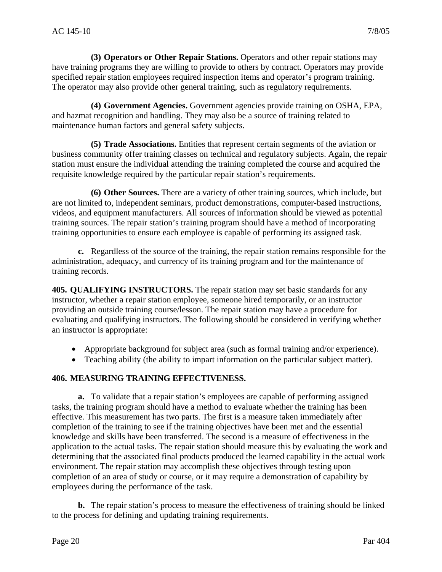**(3) Operators or Other Repair Stations.** Operators and other repair stations may have training programs they are willing to provide to others by contract. Operators may provide specified repair station employees required inspection items and operator's program training. The operator may also provide other general training, such as regulatory requirements.

**(4) Government Agencies.** Government agencies provide training on OSHA, EPA, and hazmat recognition and handling. They may also be a source of training related to maintenance human factors and general safety subjects.

**(5) Trade Associations.** Entities that represent certain segments of the aviation or business community offer training classes on technical and regulatory subjects. Again, the repair station must ensure the individual attending the training completed the course and acquired the requisite knowledge required by the particular repair station's requirements.

**(6) Other Sources.** There are a variety of other training sources, which include, but are not limited to, independent seminars, product demonstrations, computer-based instructions, videos, and equipment manufacturers. All sources of information should be viewed as potential training sources. The repair station's training program should have a method of incorporating training opportunities to ensure each employee is capable of performing its assigned task.

**c.** Regardless of the source of the training, the repair station remains responsible for the administration, adequacy, and currency of its training program and for the maintenance of training records.

**405. QUALIFYING INSTRUCTORS.** The repair station may set basic standards for any instructor, whether a repair station employee, someone hired temporarily, or an instructor providing an outside training course/lesson. The repair station may have a procedure for evaluating and qualifying instructors. The following should be considered in verifying whether an instructor is appropriate:

- Appropriate background for subject area (such as formal training and/or experience).
- Teaching ability (the ability to impart information on the particular subject matter).

## **406. MEASURING TRAINING EFFECTIVENESS.**

**a.** To validate that a repair station's employees are capable of performing assigned tasks, the training program should have a method to evaluate whether the training has been effective. This measurement has two parts. The first is a measure taken immediately after completion of the training to see if the training objectives have been met and the essential knowledge and skills have been transferred. The second is a measure of effectiveness in the application to the actual tasks. The repair station should measure this by evaluating the work and determining that the associated final products produced the learned capability in the actual work environment. The repair station may accomplish these objectives through testing upon completion of an area of study or course, or it may require a demonstration of capability by employees during the performance of the task.

**b.** The repair station's process to measure the effectiveness of training should be linked to the process for defining and updating training requirements.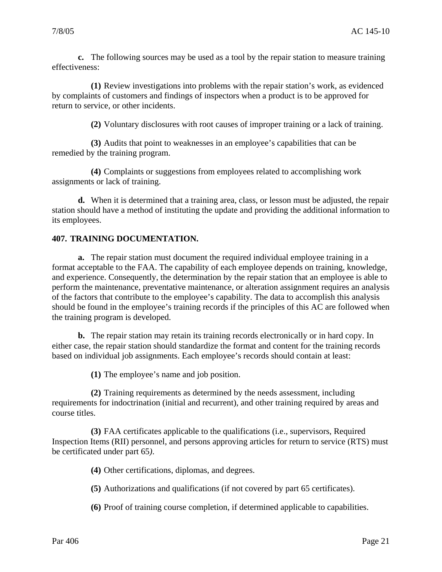**c.** The following sources may be used as a tool by the repair station to measure training effectiveness:

**(1)** Review investigations into problems with the repair station's work, as evidenced by complaints of customers and findings of inspectors when a product is to be approved for return to service, or other incidents.

**(2)** Voluntary disclosures with root causes of improper training or a lack of training.

**(3)** Audits that point to weaknesses in an employee's capabilities that can be remedied by the training program.

**(4)** Complaints or suggestions from employees related to accomplishing work assignments or lack of training.

**d.** When it is determined that a training area, class, or lesson must be adjusted, the repair station should have a method of instituting the update and providing the additional information to its employees.

#### **407. TRAINING DOCUMENTATION.**

**a.** The repair station must document the required individual employee training in a format acceptable to the FAA. The capability of each employee depends on training, knowledge, and experience. Consequently, the determination by the repair station that an employee is able to perform the maintenance, preventative maintenance, or alteration assignment requires an analysis of the factors that contribute to the employee's capability. The data to accomplish this analysis should be found in the employee's training records if the principles of this AC are followed when the training program is developed.

**b.** The repair station may retain its training records electronically or in hard copy. In either case, the repair station should standardize the format and content for the training records based on individual job assignments. Each employee's records should contain at least:

**(1)** The employee's name and job position.

**(2)** Training requirements as determined by the needs assessment, including requirements for indoctrination (initial and recurrent), and other training required by areas and course titles.

**(3)** FAA certificates applicable to the qualifications (i.e., supervisors, Required Inspection Items (RII) personnel, and persons approving articles for return to service (RTS) must be certificated under part 65*)*.

**(4)** Other certifications, diplomas, and degrees.

**(5)** Authorizations and qualifications (if not covered by part 65 certificates).

**(6)** Proof of training course completion, if determined applicable to capabilities.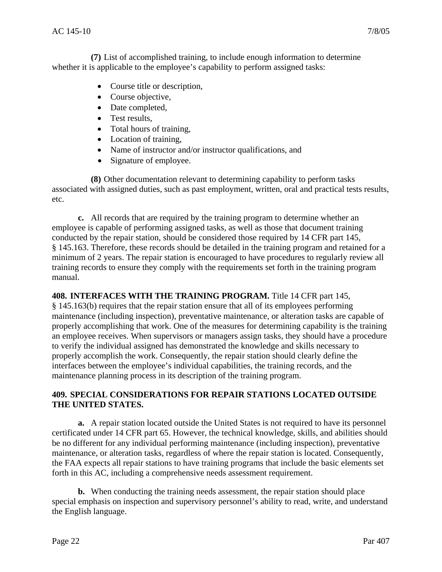**(7)** List of accomplished training, to include enough information to determine whether it is applicable to the employee's capability to perform assigned tasks:

- Course title or description,
- Course objective,
- Date completed,
- Test results.
- Total hours of training,
- Location of training,
- Name of instructor and/or instructor qualifications, and
- Signature of employee.

**(8)** Other documentation relevant to determining capability to perform tasks associated with assigned duties, such as past employment, written, oral and practical tests results, etc.

**c.** All records that are required by the training program to determine whether an employee is capable of performing assigned tasks, as well as those that document training conducted by the repair station, should be considered those required by 14 CFR part 145, § 145.163. Therefore, these records should be detailed in the training program and retained for a minimum of 2 years. The repair station is encouraged to have procedures to regularly review all training records to ensure they comply with the requirements set forth in the training program manual.

**408. INTERFACES WITH THE TRAINING PROGRAM.** Title 14 CFR part 145,

§ 145.163(b) requires that the repair station ensure that all of its employees performing maintenance (including inspection), preventative maintenance, or alteration tasks are capable of properly accomplishing that work. One of the measures for determining capability is the training an employee receives. When supervisors or managers assign tasks, they should have a procedure to verify the individual assigned has demonstrated the knowledge and skills necessary to properly accomplish the work. Consequently, the repair station should clearly define the interfaces between the employee's individual capabilities, the training records, and the maintenance planning process in its description of the training program.

## **409. SPECIAL CONSIDERATIONS FOR REPAIR STATIONS LOCATED OUTSIDE THE UNITED STATES.**

**a.** A repair station located outside the United States is not required to have its personnel certificated under 14 CFR part 65. However, the technical knowledge, skills, and abilities should be no different for any individual performing maintenance (including inspection), preventative maintenance, or alteration tasks, regardless of where the repair station is located. Consequently, the FAA expects all repair stations to have training programs that include the basic elements set forth in this AC, including a comprehensive needs assessment requirement.

**b.** When conducting the training needs assessment, the repair station should place special emphasis on inspection and supervisory personnel's ability to read, write, and understand the English language.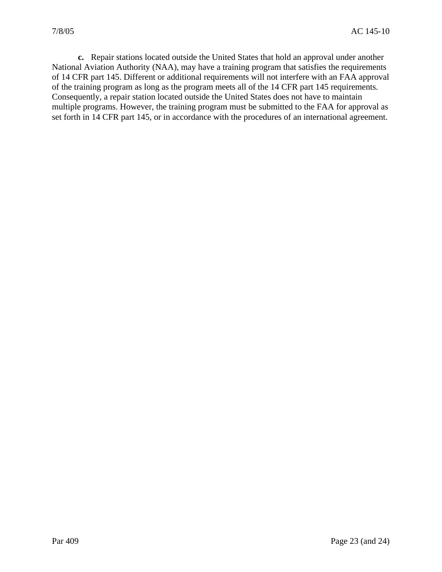**c.** Repair stations located outside the United States that hold an approval under another National Aviation Authority (NAA), may have a training program that satisfies the requirements of 14 CFR part 145. Different or additional requirements will not interfere with an FAA approval of the training program as long as the program meets all of the 14 CFR part 145 requirements. Consequently, a repair station located outside the United States does not have to maintain multiple programs. However, the training program must be submitted to the FAA for approval as set forth in 14 CFR part 145, or in accordance with the procedures of an international agreement.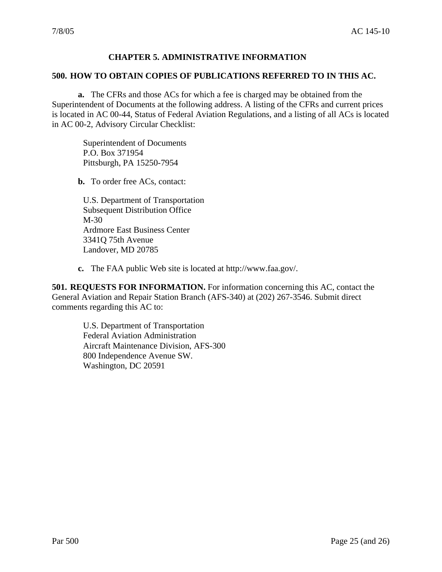## **CHAPTER 5. ADMINISTRATIVE INFORMATION**

#### **500. HOW TO OBTAIN COPIES OF PUBLICATIONS REFERRED TO IN THIS AC.**

**a.** The CFRs and those ACs for which a fee is charged may be obtained from the Superintendent of Documents at the following address. A listing of the CFRs and current prices is located in AC 00-44, Status of Federal Aviation Regulations, and a listing of all ACs is located in AC 00-2, Advisory Circular Checklist:

 Superintendent of Documents P.O. Box 371954 Pittsburgh, PA 15250-7954

**b.** To order free ACs, contact:

 U.S. Department of Transportation Subsequent Distribution Office M-30 Ardmore East Business Center 3341Q 75th Avenue Landover, MD 20785

**c.** The FAA public Web site is located at http://www.faa.gov/.

**501. REQUESTS FOR INFORMATION.** For information concerning this AC, contact the General Aviation and Repair Station Branch (AFS-340) at (202) 267-3546. Submit direct comments regarding this AC to:

 U.S. Department of Transportation Federal Aviation Administration Aircraft Maintenance Division, AFS-300 800 Independence Avenue SW. Washington, DC 20591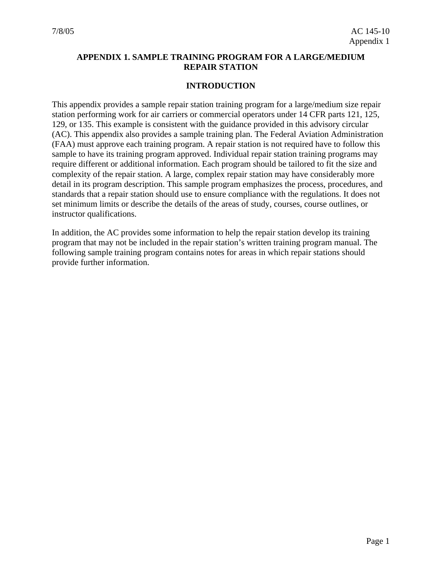#### **APPENDIX 1. SAMPLE TRAINING PROGRAM FOR A LARGE/MEDIUM REPAIR STATION**

#### **INTRODUCTION**

This appendix provides a sample repair station training program for a large/medium size repair station performing work for air carriers or commercial operators under 14 CFR parts 121, 125, 129, or 135. This example is consistent with the guidance provided in this advisory circular (AC). This appendix also provides a sample training plan. The Federal Aviation Administration (FAA) must approve each training program. A repair station is not required have to follow this sample to have its training program approved. Individual repair station training programs may require different or additional information. Each program should be tailored to fit the size and complexity of the repair station. A large, complex repair station may have considerably more detail in its program description. This sample program emphasizes the process, procedures, and standards that a repair station should use to ensure compliance with the regulations. It does not set minimum limits or describe the details of the areas of study, courses, course outlines, or instructor qualifications.

In addition, the AC provides some information to help the repair station develop its training program that may not be included in the repair station's written training program manual. The following sample training program contains notes for areas in which repair stations should provide further information.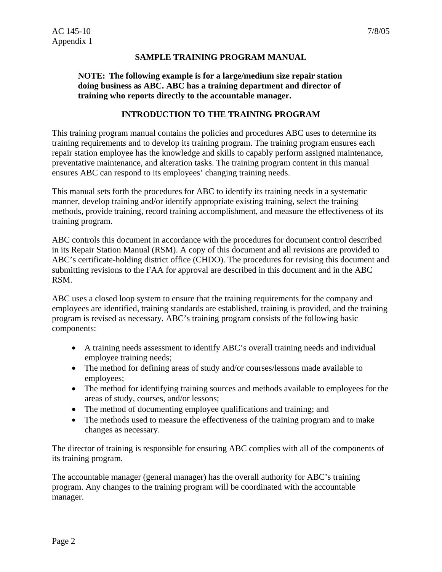Appendix 1

#### **SAMPLE TRAINING PROGRAM MANUAL**

### **NOTE: The following example is for a large/medium size repair station doing business as ABC. ABC has a training department and director of training who reports directly to the accountable manager.**

#### **INTRODUCTION TO THE TRAINING PROGRAM**

This training program manual contains the policies and procedures ABC uses to determine its training requirements and to develop its training program. The training program ensures each repair station employee has the knowledge and skills to capably perform assigned maintenance, preventative maintenance, and alteration tasks. The training program content in this manual ensures ABC can respond to its employees' changing training needs.

This manual sets forth the procedures for ABC to identify its training needs in a systematic manner, develop training and/or identify appropriate existing training, select the training methods, provide training, record training accomplishment, and measure the effectiveness of its training program.

ABC controls this document in accordance with the procedures for document control described in its Repair Station Manual (RSM). A copy of this document and all revisions are provided to ABC's certificate-holding district office (CHDO). The procedures for revising this document and submitting revisions to the FAA for approval are described in this document and in the ABC RSM.

ABC uses a closed loop system to ensure that the training requirements for the company and employees are identified, training standards are established, training is provided, and the training program is revised as necessary. ABC's training program consists of the following basic components:

- A training needs assessment to identify ABC's overall training needs and individual employee training needs;
- The method for defining areas of study and/or courses/lessons made available to employees;
- The method for identifying training sources and methods available to employees for the areas of study, courses, and/or lessons;
- The method of documenting employee qualifications and training; and
- The methods used to measure the effectiveness of the training program and to make changes as necessary.

The director of training is responsible for ensuring ABC complies with all of the components of its training program.

The accountable manager (general manager) has the overall authority for ABC's training program. Any changes to the training program will be coordinated with the accountable manager.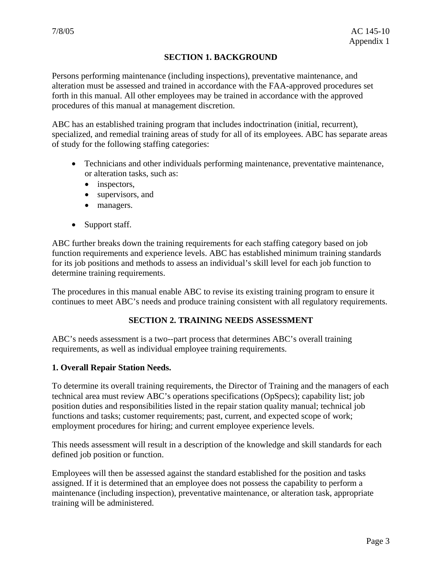#### **SECTION 1. BACKGROUND**

Persons performing maintenance (including inspections), preventative maintenance, and alteration must be assessed and trained in accordance with the FAA-approved procedures set forth in this manual. All other employees may be trained in accordance with the approved procedures of this manual at management discretion.

ABC has an established training program that includes indoctrination (initial, recurrent), specialized, and remedial training areas of study for all of its employees. ABC has separate areas of study for the following staffing categories:

- Technicians and other individuals performing maintenance, preventative maintenance, or alteration tasks, such as:
	- inspectors,
	- supervisors, and
	- managers.
- Support staff.

ABC further breaks down the training requirements for each staffing category based on job function requirements and experience levels. ABC has established minimum training standards for its job positions and methods to assess an individual's skill level for each job function to determine training requirements.

The procedures in this manual enable ABC to revise its existing training program to ensure it continues to meet ABC's needs and produce training consistent with all regulatory requirements.

#### **SECTION 2. TRAINING NEEDS ASSESSMENT**

ABC's needs assessment is a two--part process that determines ABC's overall training requirements, as well as individual employee training requirements.

#### **1. Overall Repair Station Needs.**

To determine its overall training requirements, the Director of Training and the managers of each technical area must review ABC's operations specifications (OpSpecs); capability list; job position duties and responsibilities listed in the repair station quality manual; technical job functions and tasks; customer requirements; past, current, and expected scope of work; employment procedures for hiring; and current employee experience levels.

This needs assessment will result in a description of the knowledge and skill standards for each defined job position or function.

Employees will then be assessed against the standard established for the position and tasks assigned. If it is determined that an employee does not possess the capability to perform a maintenance (including inspection), preventative maintenance, or alteration task, appropriate training will be administered.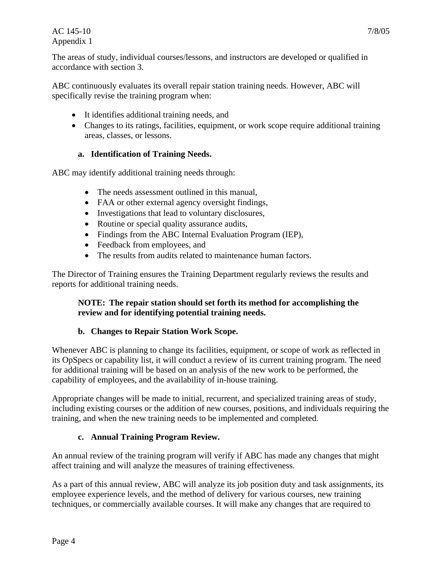#### AC 145-10 7/8/05 Appendix 1

The areas of study, individual courses/lessons, and instructors are developed or qualified in accordance with section 3.

ABC continuously evaluates its overall repair station training needs. However, ABC will specifically revise the training program when:

- It identifies additional training needs, and
- Changes to its ratings, facilities, equipment, or work scope require additional training areas, classes, or lessons.

## **a. Identification of Training Needs.**

ABC may identify additional training needs through:

- The needs assessment outlined in this manual.
- FAA or other external agency oversight findings,
- Investigations that lead to voluntary disclosures,
- Routine or special quality assurance audits,
- Findings from the ABC Internal Evaluation Program (IEP),
- Feedback from employees, and
- The results from audits related to maintenance human factors.

The Director of Training ensures the Training Department regularly reviews the results and reports for additional training needs.

## **NOTE: The repair station should set forth its method for accomplishing the review and for identifying potential training needs.**

#### **b. Changes to Repair Station Work Scope.**

Whenever ABC is planning to change its facilities, equipment, or scope of work as reflected in its OpSpecs or capability list, it will conduct a review of its current training program. The need for additional training will be based on an analysis of the new work to be performed, the capability of employees, and the availability of in-house training.

Appropriate changes will be made to initial, recurrent, and specialized training areas of study, including existing courses or the addition of new courses, positions, and individuals requiring the training, and when the new training needs to be implemented and completed.

## **c. Annual Training Program Review.**

An annual review of the training program will verify if ABC has made any changes that might affect training and will analyze the measures of training effectiveness.

As a part of this annual review, ABC will analyze its job position duty and task assignments, its employee experience levels, and the method of delivery for various courses, new training techniques, or commercially available courses. It will make any changes that are required to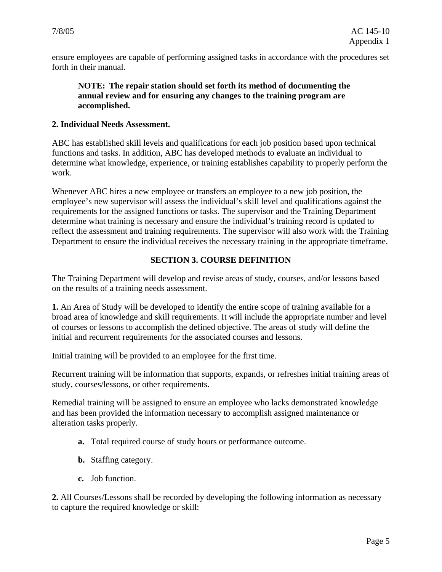ensure employees are capable of performing assigned tasks in accordance with the procedures set forth in their manual.

#### **NOTE: The repair station should set forth its method of documenting the annual review and for ensuring any changes to the training program are accomplished.**

#### **2. Individual Needs Assessment.**

ABC has established skill levels and qualifications for each job position based upon technical functions and tasks. In addition, ABC has developed methods to evaluate an individual to determine what knowledge, experience, or training establishes capability to properly perform the work.

Whenever ABC hires a new employee or transfers an employee to a new job position, the employee's new supervisor will assess the individual's skill level and qualifications against the requirements for the assigned functions or tasks. The supervisor and the Training Department determine what training is necessary and ensure the individual's training record is updated to reflect the assessment and training requirements. The supervisor will also work with the Training Department to ensure the individual receives the necessary training in the appropriate timeframe.

#### **SECTION 3. COURSE DEFINITION**

The Training Department will develop and revise areas of study, courses, and/or lessons based on the results of a training needs assessment.

**1.** An Area of Study will be developed to identify the entire scope of training available for a broad area of knowledge and skill requirements. It will include the appropriate number and level of courses or lessons to accomplish the defined objective. The areas of study will define the initial and recurrent requirements for the associated courses and lessons.

Initial training will be provided to an employee for the first time.

Recurrent training will be information that supports, expands, or refreshes initial training areas of study, courses/lessons, or other requirements.

Remedial training will be assigned to ensure an employee who lacks demonstrated knowledge and has been provided the information necessary to accomplish assigned maintenance or alteration tasks properly.

- **a.** Total required course of study hours or performance outcome.
- **b.** Staffing category.
- **c.** Job function.

**2.** All Courses/Lessons shall be recorded by developing the following information as necessary to capture the required knowledge or skill: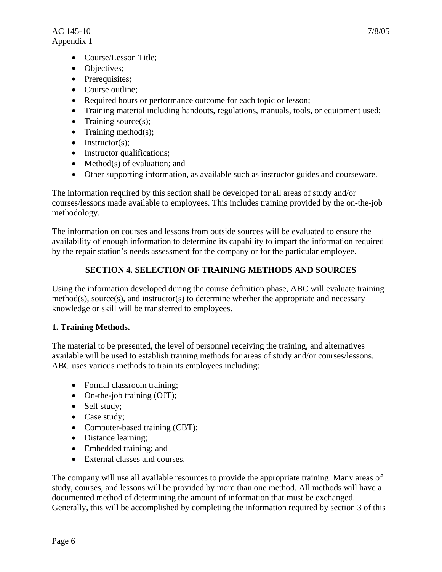- Course/Lesson Title;
- Objectives:
- Prerequisites;
- Course outline;
- Required hours or performance outcome for each topic or lesson;
- Training material including handouts, regulations, manuals, tools, or equipment used;
- Training source(s);
- Training method(s);
- $\bullet$  Instructor(s);
- Instructor qualifications;
- Method(s) of evaluation; and
- Other supporting information, as available such as instructor guides and courseware.

The information required by this section shall be developed for all areas of study and/or courses/lessons made available to employees. This includes training provided by the on-the-job methodology.

The information on courses and lessons from outside sources will be evaluated to ensure the availability of enough information to determine its capability to impart the information required by the repair station's needs assessment for the company or for the particular employee.

## **SECTION 4. SELECTION OF TRAINING METHODS AND SOURCES**

Using the information developed during the course definition phase, ABC will evaluate training method(s), source(s), and instructor(s) to determine whether the appropriate and necessary knowledge or skill will be transferred to employees.

## **1. Training Methods.**

The material to be presented, the level of personnel receiving the training, and alternatives available will be used to establish training methods for areas of study and/or courses/lessons. ABC uses various methods to train its employees including:

- Formal classroom training;
- On-the-job training (OJT);
- Self study;
- Case study;
- Computer-based training (CBT);
- Distance learning;
- Embedded training; and
- External classes and courses.

The company will use all available resources to provide the appropriate training. Many areas of study, courses, and lessons will be provided by more than one method. All methods will have a documented method of determining the amount of information that must be exchanged. Generally, this will be accomplished by completing the information required by section 3 of this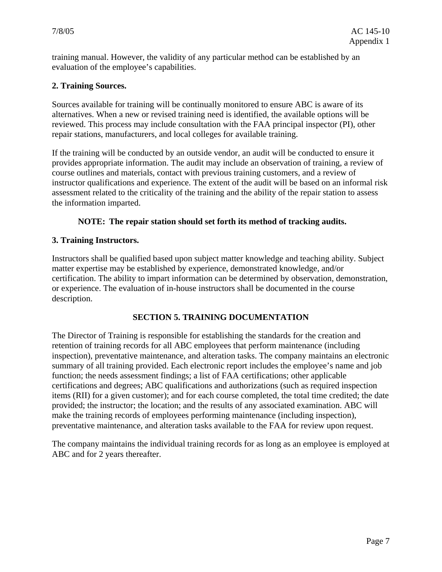training manual. However, the validity of any particular method can be established by an evaluation of the employee's capabilities.

#### **2. Training Sources.**

Sources available for training will be continually monitored to ensure ABC is aware of its alternatives. When a new or revised training need is identified, the available options will be reviewed. This process may include consultation with the FAA principal inspector (PI), other repair stations, manufacturers, and local colleges for available training.

If the training will be conducted by an outside vendor, an audit will be conducted to ensure it provides appropriate information. The audit may include an observation of training, a review of course outlines and materials, contact with previous training customers, and a review of instructor qualifications and experience. The extent of the audit will be based on an informal risk assessment related to the criticality of the training and the ability of the repair station to assess the information imparted.

#### **NOTE: The repair station should set forth its method of tracking audits.**

#### **3. Training Instructors.**

Instructors shall be qualified based upon subject matter knowledge and teaching ability. Subject matter expertise may be established by experience, demonstrated knowledge, and/or certification. The ability to impart information can be determined by observation, demonstration, or experience. The evaluation of in-house instructors shall be documented in the course description.

#### **SECTION 5. TRAINING DOCUMENTATION**

The Director of Training is responsible for establishing the standards for the creation and retention of training records for all ABC employees that perform maintenance (including inspection), preventative maintenance, and alteration tasks. The company maintains an electronic summary of all training provided. Each electronic report includes the employee's name and job function; the needs assessment findings; a list of FAA certifications; other applicable certifications and degrees; ABC qualifications and authorizations (such as required inspection items (RII) for a given customer); and for each course completed, the total time credited; the date provided; the instructor; the location; and the results of any associated examination. ABC will make the training records of employees performing maintenance (including inspection), preventative maintenance, and alteration tasks available to the FAA for review upon request.

The company maintains the individual training records for as long as an employee is employed at ABC and for 2 years thereafter.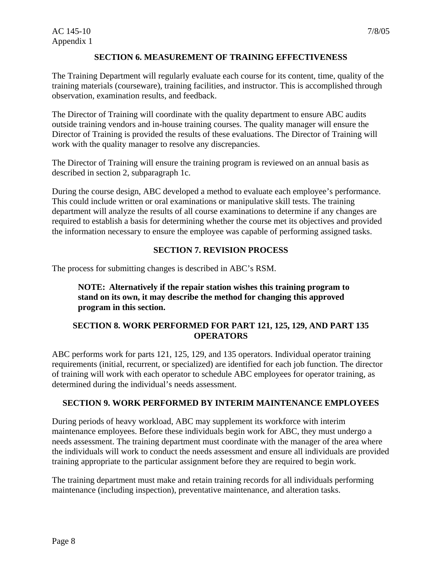#### **SECTION 6. MEASUREMENT OF TRAINING EFFECTIVENESS**

The Training Department will regularly evaluate each course for its content, time, quality of the training materials (courseware), training facilities, and instructor. This is accomplished through observation, examination results, and feedback.

The Director of Training will coordinate with the quality department to ensure ABC audits outside training vendors and in-house training courses. The quality manager will ensure the Director of Training is provided the results of these evaluations. The Director of Training will work with the quality manager to resolve any discrepancies.

The Director of Training will ensure the training program is reviewed on an annual basis as described in section 2, subparagraph 1c.

During the course design, ABC developed a method to evaluate each employee's performance. This could include written or oral examinations or manipulative skill tests. The training department will analyze the results of all course examinations to determine if any changes are required to establish a basis for determining whether the course met its objectives and provided the information necessary to ensure the employee was capable of performing assigned tasks.

#### **SECTION 7. REVISION PROCESS**

The process for submitting changes is described in ABC's RSM.

#### **NOTE: Alternatively if the repair station wishes this training program to stand on its own, it may describe the method for changing this approved program in this section.**

#### **SECTION 8. WORK PERFORMED FOR PART 121, 125, 129, AND PART 135 OPERATORS**

ABC performs work for parts 121, 125, 129, and 135 operators. Individual operator training requirements (initial, recurrent, or specialized) are identified for each job function. The director of training will work with each operator to schedule ABC employees for operator training, as determined during the individual's needs assessment.

#### **SECTION 9. WORK PERFORMED BY INTERIM MAINTENANCE EMPLOYEES**

During periods of heavy workload, ABC may supplement its workforce with interim maintenance employees. Before these individuals begin work for ABC, they must undergo a needs assessment. The training department must coordinate with the manager of the area where the individuals will work to conduct the needs assessment and ensure all individuals are provided training appropriate to the particular assignment before they are required to begin work.

The training department must make and retain training records for all individuals performing maintenance (including inspection), preventative maintenance, and alteration tasks.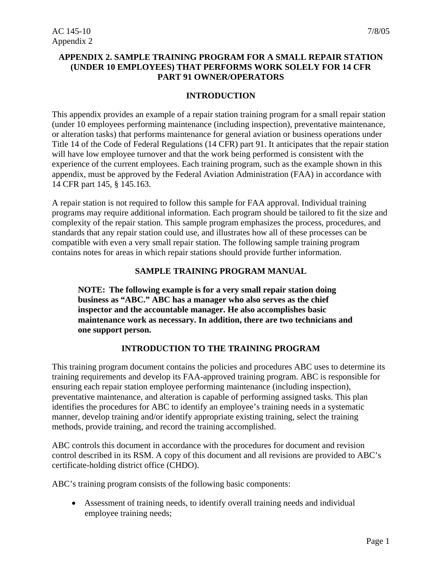#### **INTRODUCTION**

This appendix provides an example of a repair station training program for a small repair station (under 10 employees performing maintenance (including inspection), preventative maintenance, or alteration tasks) that performs maintenance for general aviation or business operations under Title 14 of the Code of Federal Regulations (14 CFR) part 91. It anticipates that the repair station will have low employee turnover and that the work being performed is consistent with the experience of the current employees. Each training program, such as the example shown in this appendix, must be approved by the Federal Aviation Administration (FAA) in accordance with 14 CFR part 145, § 145.163.

A repair station is not required to follow this sample for FAA approval. Individual training programs may require additional information. Each program should be tailored to fit the size and complexity of the repair station. This sample program emphasizes the process, procedures, and standards that any repair station could use, and illustrates how all of these processes can be compatible with even a very small repair station. The following sample training program contains notes for areas in which repair stations should provide further information.

#### **SAMPLE TRAINING PROGRAM MANUAL**

**NOTE: The following example is for a very small repair station doing business as "ABC." ABC has a manager who also serves as the chief inspector and the accountable manager. He also accomplishes basic maintenance work as necessary. In addition, there are two technicians and one support person.** 

#### **INTRODUCTION TO THE TRAINING PROGRAM**

This training program document contains the policies and procedures ABC uses to determine its training requirements and develop its FAA-approved training program. ABC is responsible for ensuring each repair station employee performing maintenance (including inspection), preventative maintenance, and alteration is capable of performing assigned tasks. This plan identifies the procedures for ABC to identify an employee's training needs in a systematic manner, develop training and/or identify appropriate existing training, select the training methods, provide training, and record the training accomplished.

ABC controls this document in accordance with the procedures for document and revision control described in its RSM. A copy of this document and all revisions are provided to ABC's certificate-holding district office (CHDO).

ABC's training program consists of the following basic components:

• Assessment of training needs, to identify overall training needs and individual employee training needs;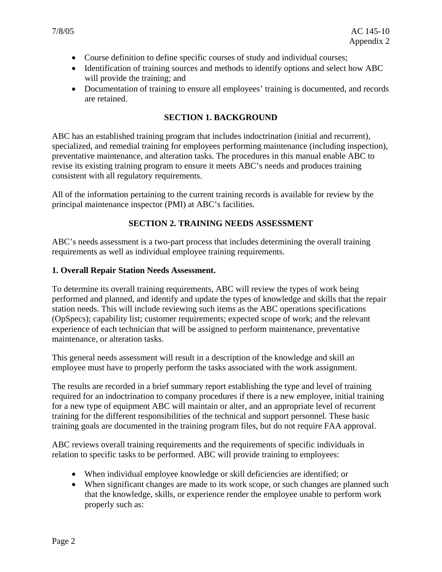- Course definition to define specific courses of study and individual courses;
- Identification of training sources and methods to identify options and select how ABC will provide the training; and
- Documentation of training to ensure all employees' training is documented, and records are retained.

## **SECTION 1. BACKGROUND**

ABC has an established training program that includes indoctrination (initial and recurrent), specialized, and remedial training for employees performing maintenance (including inspection), preventative maintenance, and alteration tasks. The procedures in this manual enable ABC to revise its existing training program to ensure it meets ABC's needs and produces training consistent with all regulatory requirements.

All of the information pertaining to the current training records is available for review by the principal maintenance inspector (PMI) at ABC's facilities.

## **SECTION 2. TRAINING NEEDS ASSESSMENT**

ABC's needs assessment is a two-part process that includes determining the overall training requirements as well as individual employee training requirements.

#### **1. Overall Repair Station Needs Assessment.**

To determine its overall training requirements, ABC will review the types of work being performed and planned, and identify and update the types of knowledge and skills that the repair station needs. This will include reviewing such items as the ABC operations specifications (OpSpecs); capability list; customer requirements; expected scope of work; and the relevant experience of each technician that will be assigned to perform maintenance, preventative maintenance, or alteration tasks.

This general needs assessment will result in a description of the knowledge and skill an employee must have to properly perform the tasks associated with the work assignment.

The results are recorded in a brief summary report establishing the type and level of training required for an indoctrination to company procedures if there is a new employee, initial training for a new type of equipment ABC will maintain or alter, and an appropriate level of recurrent training for the different responsibilities of the technical and support personnel. These basic training goals are documented in the training program files, but do not require FAA approval.

ABC reviews overall training requirements and the requirements of specific individuals in relation to specific tasks to be performed. ABC will provide training to employees:

- When individual employee knowledge or skill deficiencies are identified; or
- When significant changes are made to its work scope, or such changes are planned such that the knowledge, skills, or experience render the employee unable to perform work properly such as: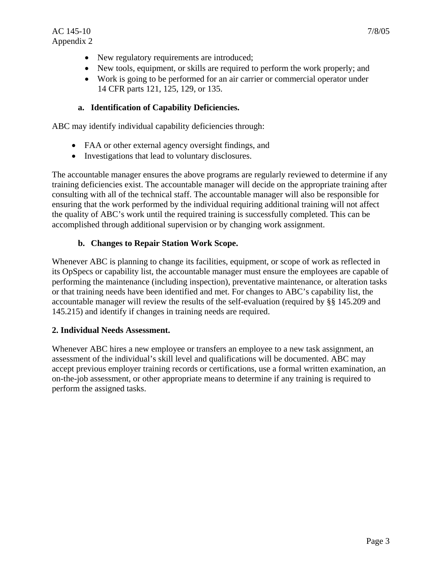- New regulatory requirements are introduced;
- New tools, equipment, or skills are required to perform the work properly; and
- Work is going to be performed for an air carrier or commercial operator under 14 CFR parts 121, 125, 129, or 135.

## **a. Identification of Capability Deficiencies.**

ABC may identify individual capability deficiencies through:

- FAA or other external agency oversight findings, and
- Investigations that lead to voluntary disclosures.

The accountable manager ensures the above programs are regularly reviewed to determine if any training deficiencies exist. The accountable manager will decide on the appropriate training after consulting with all of the technical staff. The accountable manager will also be responsible for ensuring that the work performed by the individual requiring additional training will not affect the quality of ABC's work until the required training is successfully completed. This can be accomplished through additional supervision or by changing work assignment.

## **b. Changes to Repair Station Work Scope.**

Whenever ABC is planning to change its facilities, equipment, or scope of work as reflected in its OpSpecs or capability list, the accountable manager must ensure the employees are capable of performing the maintenance (including inspection), preventative maintenance, or alteration tasks or that training needs have been identified and met. For changes to ABC's capability list, the accountable manager will review the results of the self-evaluation (required by §§ 145.209 and 145.215) and identify if changes in training needs are required.

#### **2. Individual Needs Assessment.**

Whenever ABC hires a new employee or transfers an employee to a new task assignment, an assessment of the individual's skill level and qualifications will be documented. ABC may accept previous employer training records or certifications, use a formal written examination, an on-the-job assessment, or other appropriate means to determine if any training is required to perform the assigned tasks.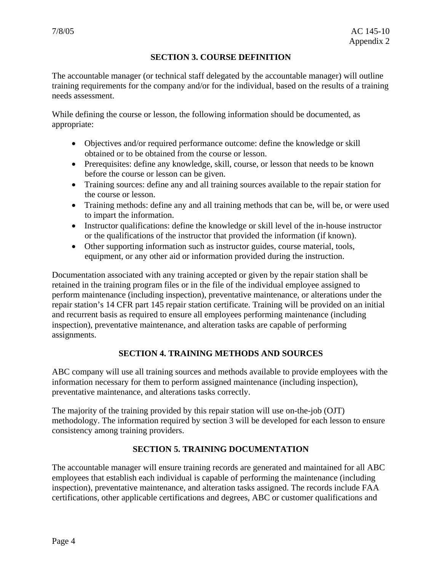#### **SECTION 3. COURSE DEFINITION**

The accountable manager (or technical staff delegated by the accountable manager) will outline training requirements for the company and/or for the individual, based on the results of a training needs assessment.

While defining the course or lesson, the following information should be documented, as appropriate:

- Objectives and/or required performance outcome: define the knowledge or skill obtained or to be obtained from the course or lesson.
- Prerequisites: define any knowledge, skill, course, or lesson that needs to be known before the course or lesson can be given.
- Training sources: define any and all training sources available to the repair station for the course or lesson.
- Training methods: define any and all training methods that can be, will be, or were used to impart the information.
- Instructor qualifications: define the knowledge or skill level of the in-house instructor or the qualifications of the instructor that provided the information (if known).
- Other supporting information such as instructor guides, course material, tools, equipment, or any other aid or information provided during the instruction.

Documentation associated with any training accepted or given by the repair station shall be retained in the training program files or in the file of the individual employee assigned to perform maintenance (including inspection), preventative maintenance, or alterations under the repair station's 14 CFR part 145 repair station certificate. Training will be provided on an initial and recurrent basis as required to ensure all employees performing maintenance (including inspection), preventative maintenance, and alteration tasks are capable of performing assignments.

#### **SECTION 4. TRAINING METHODS AND SOURCES**

ABC company will use all training sources and methods available to provide employees with the information necessary for them to perform assigned maintenance (including inspection), preventative maintenance, and alterations tasks correctly.

The majority of the training provided by this repair station will use on-the-job (OJT) methodology. The information required by section 3 will be developed for each lesson to ensure consistency among training providers.

#### **SECTION 5. TRAINING DOCUMENTATION**

The accountable manager will ensure training records are generated and maintained for all ABC employees that establish each individual is capable of performing the maintenance (including inspection), preventative maintenance, and alteration tasks assigned. The records include FAA certifications, other applicable certifications and degrees, ABC or customer qualifications and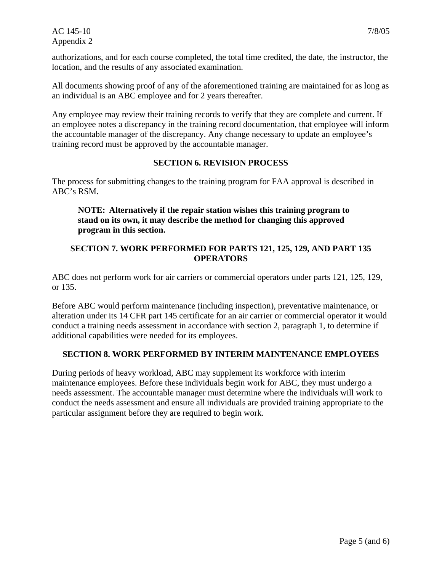authorizations, and for each course completed, the total time credited, the date, the instructor, the location, and the results of any associated examination.

All documents showing proof of any of the aforementioned training are maintained for as long as an individual is an ABC employee and for 2 years thereafter.

Any employee may review their training records to verify that they are complete and current. If an employee notes a discrepancy in the training record documentation, that employee will inform the accountable manager of the discrepancy. Any change necessary to update an employee's training record must be approved by the accountable manager.

## **SECTION 6. REVISION PROCESS**

The process for submitting changes to the training program for FAA approval is described in ABC's RSM.

## **NOTE: Alternatively if the repair station wishes this training program to stand on its own, it may describe the method for changing this approved program in this section.**

## **SECTION 7. WORK PERFORMED FOR PARTS 121, 125, 129, AND PART 135 OPERATORS**

ABC does not perform work for air carriers or commercial operators under parts 121, 125, 129, or 135.

Before ABC would perform maintenance (including inspection), preventative maintenance, or alteration under its 14 CFR part 145 certificate for an air carrier or commercial operator it would conduct a training needs assessment in accordance with section 2, paragraph 1, to determine if additional capabilities were needed for its employees.

## **SECTION 8. WORK PERFORMED BY INTERIM MAINTENANCE EMPLOYEES**

During periods of heavy workload, ABC may supplement its workforce with interim maintenance employees. Before these individuals begin work for ABC, they must undergo a needs assessment. The accountable manager must determine where the individuals will work to conduct the needs assessment and ensure all individuals are provided training appropriate to the particular assignment before they are required to begin work.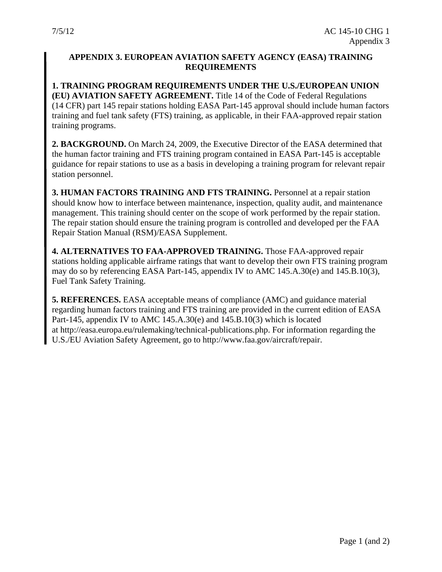## **APPENDIX 3. EUROPEAN AVIATION SAFETY AGENCY (EASA) TRAINING REQUIREMENTS**

**1. TRAINING PROGRAM REQUIREMENTS UNDER THE U.S./EUROPEAN UNION (EU) AVIATION SAFETY AGREEMENT.** Title 14 of the Code of Federal Regulations (14 CFR) part 145 repair stations holding EASA Part-145 approval should include human factors training and fuel tank safety (FTS) training, as applicable, in their FAA-approved repair station training programs.

**2. BACKGROUND.** On March 24, 2009, the Executive Director of the EASA determined that the human factor training and FTS training program contained in EASA Part-145 is acceptable guidance for repair stations to use as a basis in developing a training program for relevant repair station personnel.

**3. HUMAN FACTORS TRAINING AND FTS TRAINING.** Personnel at a repair station should know how to interface between maintenance, inspection, quality audit, and maintenance management. This training should center on the scope of work performed by the repair station. The repair station should ensure the training program is controlled and developed per the FAA Repair Station Manual (RSM)/EASA Supplement.

**4. ALTERNATIVES TO FAA-APPROVED TRAINING.** Those FAA-approved repair stations holding applicable airframe ratings that want to develop their own FTS training program may do so by referencing EASA Part-145, appendix IV to AMC 145.A.30(e) and 145.B.10(3), Fuel Tank Safety Training.

**5. REFERENCES.** EASA acceptable means of compliance (AMC) and guidance material regarding human factors training and FTS training are provided in the current edition of EASA Part-145, appendix IV to AMC 145.A.30(e) and 145.B.10(3) which is located at http://easa.europa.eu/rulemaking/technical-publications.php. For information regarding the U.S./EU Aviation Safety Agreement, go to http://www.faa.gov/aircraft/repair.